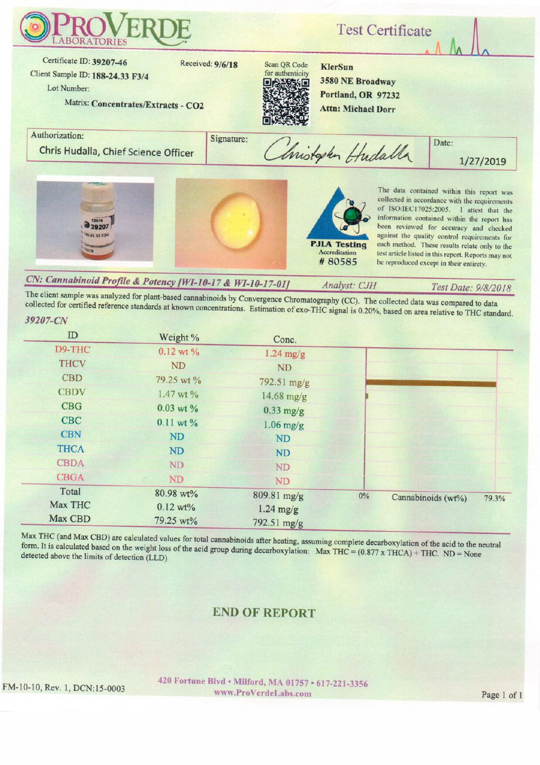

CN: Cannabinoid Profile & Potency [WI-10-17 & WI-10-17-01] Analyst: CJH

The client sample was analyzed for plant-based cannabinoids by Convergence Chromatography (CC). The collected data was compared to data collected for certified reference standards at known concentrations. Estimation of exo-THC signal is 0.20%, based on area relative to THC standard.

| ID          | Weight %            | Conc.       |    |                    |       |
|-------------|---------------------|-------------|----|--------------------|-------|
| D9-THC      | $0.12$ wt $%$       | $1.24$ mg/g |    |                    |       |
| <b>THCV</b> | <b>ND</b>           | <b>ND</b>   |    |                    |       |
| <b>CBD</b>  | 79.25 wt %          | 792.51 mg/g |    |                    |       |
| <b>CBDV</b> | 1.47 wt %           | 14.68 mg/g  |    |                    |       |
| <b>CBG</b>  | $0.03$ wt $\%$      | $0.33$ mg/g |    |                    |       |
| <b>CBC</b>  | $0.11$ wt $%$       | $1.06$ mg/g |    |                    |       |
| <b>CBN</b>  | <b>ND</b>           | ND          |    |                    |       |
| <b>THCA</b> | <b>ND</b>           | ND          |    |                    |       |
| <b>CBDA</b> | ND                  | <b>ND</b>   |    |                    |       |
| <b>CBGA</b> | ND.                 | <b>ND</b>   |    |                    |       |
| Total       | 80.98 wt%           | 809.81 mg/g | 0% | Cannabinoids (wt%) | 79.3% |
| Max THC     | $0.12 \text{ wt}$ % | $1.24$ mg/g |    |                    |       |
| Max CBD     | 79.25 wt%           | 792.51 mg/g |    |                    |       |

Max THC (and Max CBD) are calculated values for total cannabinoids after heating, assuming complete decarboxylation of the acid to the neutral form. It is calculated based on the weight loss of the acid group during decarboxylation: Max THC =  $(0.877 \times THCA) + THC$ . ND = None detected above the limits of detection (LLD)

## **END OF REPORT**

FM-10-10, Rev. 1, DCN:15-0003

39207-CN

420 Fortune Blvd . Milford, MA 01757 . 617-221-3356 www.ProVerdeLabs.com

Test Date: 9/8/2018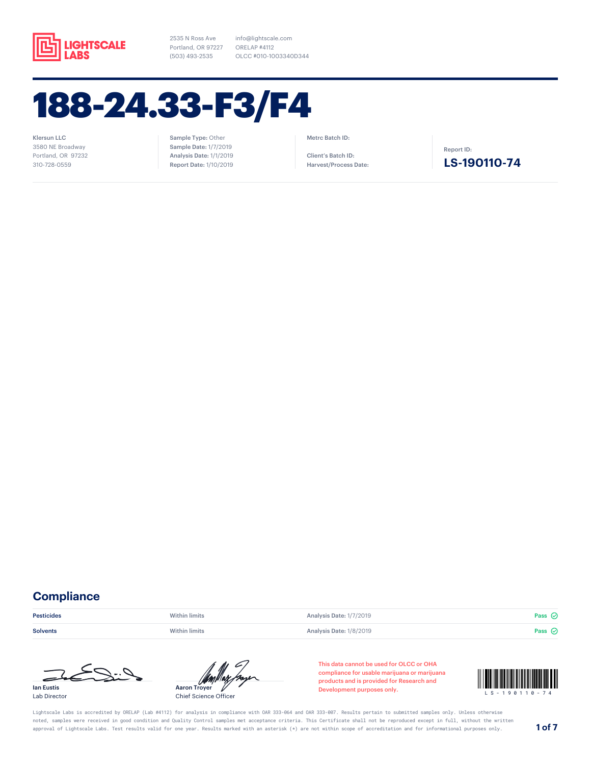

info@lightscale.com ORELAP #4112 OLCC #010-1003340D344

## 188-24.33-F3/F4

Klersun LLC 3580 NE Broadway Portland, OR 97232 310-728-0559

### Sample Type: Other Sample Date: 1/7/2019 Analysis Date: 1/1/2019 Report Date: 1/10/2019

#### Metrc Batch ID:

Client's Batch ID: Harvest/Process Date: Report ID:

### **LS-190110-74**

## **Compliance**

**Pesticides Example 2 Pass** Within limits **Analysis Date: 1/7/2019 Pass**  $\odot$  **Pass**  $\odot$ 

Solvents **Mithin limits** Within limits Analysis Date: 1/8/2019 **Pass** ⊘



Lab Director



Chief Science Officer

This data cannot be used for OLCC or OHA compliance for usable marijuana or marijuana products and is provided for Research and compliance for usable marijuana or marijuana<br>products and is provided for Research and<br>Development purposes only.



Lightscale Labs is accredited by ORELAP (Lab #4112) for analysis in compliance with OAR 333-064 and OAR 333-007. Results pertain to submitted samples only. Unless otherwise noted, samples were received in good condition and Quality Control samples met acceptance criteria. This Certificate shall not be reproduced except in full, without the written approval of Lightscale Labs. Test results valid for one year. Results marked with an asterisk (\*) are not within scope of accreditation and for informational purposes only. **1 of 7**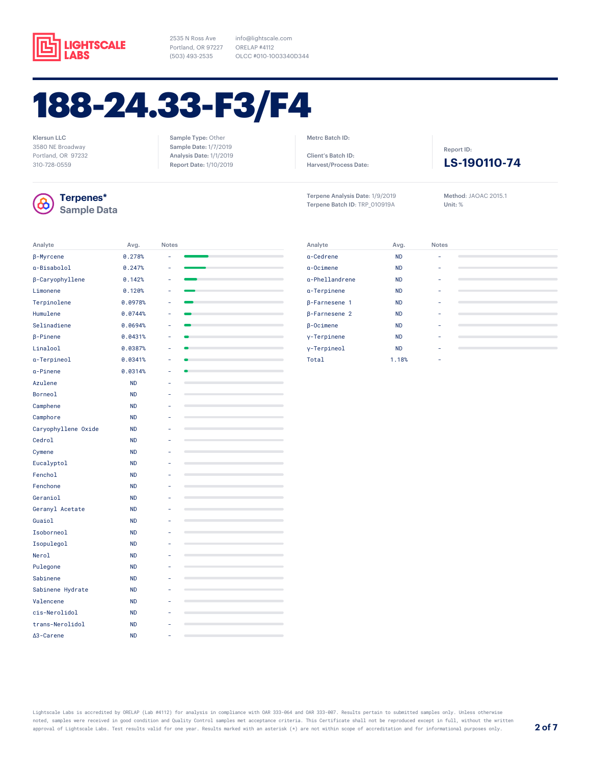

Sample Type: Other Sample Date: 1/7/2019 Analysis Date: 1/1/2019 Report Date: 1/10/2019

info@lightscale.com ORELAP #4112 OLCC #010-1003340D344

# 188-24.33-F3/F4

Klersun LLC 3580 NE Broadway Portland, OR 97232 310-728-0559



### **Terpenes\* Sample Data**

| Analyte             | Avg.      | <b>Notes</b> |                          |
|---------------------|-----------|--------------|--------------------------|
| β-Myrcene           | 0.278%    |              |                          |
| a-Bisabolol         | 0.247%    | L.           |                          |
| β-Caryophyllene     | 0.142%    |              | ÷                        |
| Limonene            | 0.120%    | ٠            |                          |
| Terpinolene         | 0.0978%   | ä,           |                          |
| Humulene            | 0.0744%   | ÷,           |                          |
| Selinadiene         | 0.0694%   | ÷,           |                          |
| $\beta$ -Pinene     | 0.0431%   | ۰            |                          |
| Linalool            | 0.0387%   | ä,           |                          |
| a-Terpineol         | 0.0341%   |              |                          |
| a-Pinene            | 0.0314%   |              |                          |
| Azulene             | <b>ND</b> |              |                          |
| Borneol             | <b>ND</b> |              |                          |
| Camphene            | <b>ND</b> |              |                          |
| Camphore            | <b>ND</b> |              |                          |
| Caryophyllene Oxide | <b>ND</b> |              |                          |
| Cedrol              | <b>ND</b> |              |                          |
| Cymene              | <b>ND</b> |              |                          |
| Eucalyptol          | <b>ND</b> | ä,           |                          |
| Fenchol             | <b>ND</b> |              | $\sim$                   |
| Fenchone            | <b>ND</b> |              |                          |
| Geraniol            | <b>ND</b> |              |                          |
| Geranyl Acetate     | <b>ND</b> |              |                          |
| Guaiol              | <b>ND</b> |              |                          |
| Isoborneol          | <b>ND</b> |              |                          |
| Isopulegol          | <b>ND</b> |              |                          |
| Nerol               | <b>ND</b> |              |                          |
| Pulegone            | <b>ND</b> |              |                          |
| Sabinene            | <b>ND</b> |              |                          |
| Sabinene Hydrate    | <b>ND</b> |              |                          |
| Valencene           | <b>ND</b> |              |                          |
| cis-Nerolidol       | <b>ND</b> |              |                          |
| trans-Nerolidol     | <b>ND</b> |              |                          |
| ∆3-Carene           | <b>ND</b> | ۰            | $\overline{\phantom{a}}$ |

| Client's Batch ID:           |  |
|------------------------------|--|
| <b>Harvest/Process Date:</b> |  |

Metrc Batch ID:

Terpene Analysis Date: 1/9/2019 Terpene Batch ID: TRP\_010919A

Method: JAOAC 2015.1 Unit: %

**LS-190110-74**

Report ID:

| Analyte              | Avg.      | <b>Notes</b> |  |
|----------------------|-----------|--------------|--|
| a-Cedrene            | <b>ND</b> |              |  |
| $a$ -Ocimene         | <b>ND</b> |              |  |
| g-Phellandrene       | <b>ND</b> |              |  |
| a-Terpinene          | <b>ND</b> |              |  |
| <b>B-Farnesene 1</b> | <b>ND</b> |              |  |
| <b>B-Farnesene 2</b> | <b>ND</b> |              |  |
| $\beta$ -Ocimene     | <b>ND</b> |              |  |
| y-Terpinene          | <b>ND</b> |              |  |
| y-Terpineol          | <b>ND</b> |              |  |
| Total                | 1.18%     |              |  |

Lightscale Labs is accredited by ORELAP (Lab #4112) for analysis in compliance with OAR 333-064 and OAR 333-007. Results pertain to submitted samples only. Unless otherwise noted, samples were received in good condition and Quality Control samples met acceptance criteria. This Certificate shall not be reproduced except in full, without the written approval of Lightscale Labs. Test results valid for one year. Results marked with an asterisk (\*) are not within scope of accreditation and for informational purposes only. **2 of 7**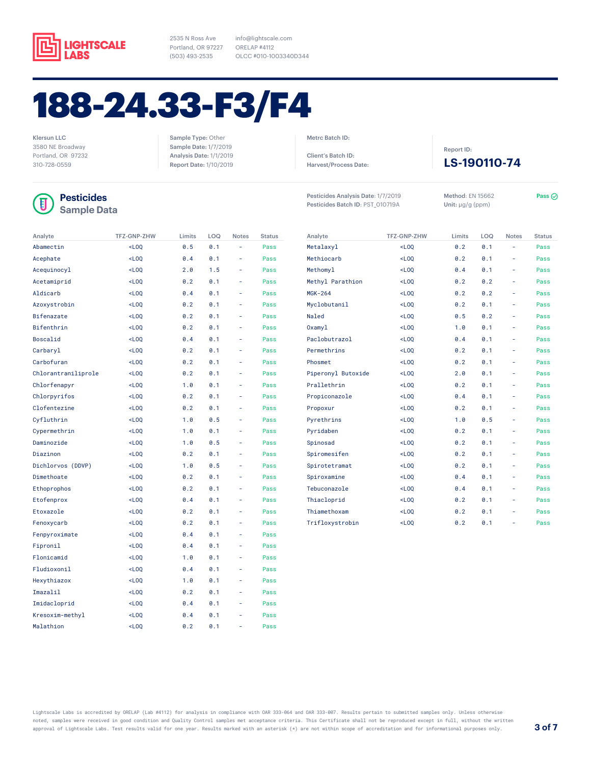

Sample Type: Other Sample Date: 1/7/2019 Analysis Date: 1/1/2019 Report Date: 1/10/2019

info@lightscale.com ORELAP #4112 OLCC #010-1003340D344

# 188-24.33-F3/F4

Klersun LLC 3580 NE Broadway Portland, OR 97232 310-728-0559

## Π

**Sample Data**

| Analyte             | <b>TFZ-GNP-ZHW</b> | Limits | LOQ | <b>Notes</b> | <b>Status</b> |
|---------------------|--------------------|--------|-----|--------------|---------------|
| Abamectin           | $<$ LOO            | 0.5    | 0.1 | L,           | Pass          |
| Acephate            | $<$ LOQ            | 0.4    | 0.1 |              | Pass          |
| Acequinocyl         | $-L00$             | 2.0    | 1.5 | ÷,           | Pass          |
| Acetamiprid         | $<$ LOO            | 0.2    | 0.1 | ä,           | Pass          |
| Aldicarb            | $<$ LOQ            | 0.4    | 0.1 | ÷            | Pass          |
| Azoxystrobin        | $<$ LOQ            | 0.2    | 0.1 | ٠            | Pass          |
| Bifenazate          | $<$ LOQ            | 0.2    | 0.1 | ä,           | Pass          |
| Bifenthrin          | $<$ LOQ            | 0.2    | 0.1 |              | Pass          |
| Boscalid            | $<$ LOQ            | 0.4    | 0.1 | ä,           | Pass          |
| Carbaryl            | $-L00$             | 0.2    | 0.1 | ٠            | Pass          |
| Carbofuran          | $<$ LOQ            | 0.2    | 0.1 | ÷            | Pass          |
| Chlorantraniliprole | $<$ LOQ            | 0.2    | 0.1 | ÷,           | Pass          |
| Chlorfenapyr        | $<$ LOQ            | 1.0    | 0.1 | ÷            | Pass          |
| Chlorpyrifos        | $<$ LOQ            | 0.2    | 0.1 | ä,           | Pass          |
| Clofentezine        | $<$ LOO            | 0.2    | 0.1 |              | Pass          |
| Cyfluthrin          | $<$ LOQ            | 1.0    | 0.5 |              | Pass          |
| Cypermethrin        | $<$ LOQ            | 1.0    | 0.1 | ä,           | Pass          |
| Daminozide          | $<$ LOQ            | 1.0    | 0.5 | ÷            | Pass          |
| Diazinon            | $<$ LOQ            | 0.2    | 0.1 | ٠            | Pass          |
| Dichlorvos (DDVP)   | $<$ LOQ            | 1.0    | 0.5 | ÷,           | Pass          |
| Dimethoate          | $<$ LOQ            | 0.2    | 0.1 | ä,           | Pass          |
| Ethoprophos         | $<$ LOQ            | 0.2    | 0.1 | ä,           | Pass          |
| Etofenprox          | $<$ LOQ            | 0.4    | 0.1 | ä,           | Pass          |
| Etoxazole           | $<$ LOQ            | 0.2    | 0.1 | ä,           | Pass          |
| Fenoxycarb          | $<$ LOQ            | 0.2    | 0.1 |              | Pass          |
| Fenpyroximate       | $<$ LOQ            | 0.4    | 0.1 | ÷            | Pass          |
| Fipronil            | $<$ LOQ            | 0.4    | 0.1 | ÷.           | Pass          |
| Flonicamid          | $<$ LOQ            | 1.0    | 0.1 | ä,           | Pass          |
| Fludioxonil         | $<$ LOQ            | 0.4    | 0.1 |              | Pass          |
| Hexythiazox         | $-L00$             | 1.0    | 0.1 | ٠            | Pass          |
| Imazalil            | $-L00$             | 0.2    | 0.1 | ÷,           | Pass          |
| Imidacloprid        | $<$ LOQ            | 0.4    | 0.1 | ٠            | Pass          |
| Kresoxim-methyl     | $<$ LOQ            | 0.4    | 0.1 | ÷            | Pass          |
| Malathion           | $-L00$             | 0.2    | 0.1 | L,           | Pass          |

| Metrc Batch ID: |  |
|-----------------|--|
|                 |  |

Client's Batch ID: Harvest/Process Date:

**Pesticides Pesticides** Analysis Date: 1/7/2019 Method: EN 15662 Pass Pesticides Batch ID: PST\_010719A

Method: EN 15662 Unit: μg/g (ppm)

Report ID:

**LS-190110-74**

| Analyte            | <b>TFZ-GNP-ZHW</b> | Limits | LOQ | <b>Notes</b>             | <b>Status</b> |
|--------------------|--------------------|--------|-----|--------------------------|---------------|
| Metalaxyl          | $<$ LOQ            | 0.2    | 0.1 |                          | Pass          |
| Methiocarb         | $<$ LOQ            | 0.2    | 0.1 | -                        | Pass          |
| Methomyl           | $<$ LOQ            | 0.4    | 0.1 | ä,                       | Pass          |
| Methyl Parathion   | $<$ LOQ            | 0.2    | 0.2 | -                        | Pass          |
| <b>MGK-264</b>     | $<$ LOQ            | 0.2    | 0.2 | ä,                       | Pass          |
| Myclobutanil       | $<$ LOQ            | 0.2    | 0.1 | ä,                       | Pass          |
| Naled              | $<$ LOQ            | 0.5    | 0.2 | -                        | Pass          |
| 0xamyl             | $<$ LOO            | 1.0    | 0.1 | $\overline{\phantom{0}}$ | Pass          |
| Paclobutrazol      | $<$ LOQ            | 0.4    | 0.1 | -                        | Pass          |
| Permethrins        | $<$ LOO            | 0.2    | 0.1 |                          | Pass          |
| Phosmet            | $<$ LOO            | 0.2    | 0.1 | -                        | Pass          |
| Piperonyl Butoxide | $<$ LOQ            | 2.0    | 0.1 |                          | Pass          |
| Prallethrin        | $<$ LOQ            | 0.2    | 0.1 | -                        | Pass          |
| Propiconazole      | $<$ LOQ            | 0.4    | 0.1 | -                        | Pass          |
| Propoxur           | $<$ LOQ            | 0.2    | 0.1 | -                        | Pass          |
| Pyrethrins         | $<$ LOQ            | 1.0    | 0.5 |                          | Pass          |
| Pyridaben          | $<$ LOQ            | 0.2    | 0.1 | -                        | Pass          |
| Spinosad           | $<$ LOQ            | 0.2    | 0.1 | -                        | Pass          |
| Spiromesifen       | $<$ LOQ            | 0.2    | 0.1 | -                        | Pass          |
| Spirotetramat      | $<$ LOQ            | 0.2    | 0.1 | -                        | Pass          |
| Spiroxamine        | $<$ LOQ            | 0.4    | 0.1 | ۰                        | Pass          |
| Tebuconazole       | $<$ LOQ            | 0.4    | 0.1 | -                        | Pass          |
| Thiacloprid        | $<$ LOQ            | 0.2    | 0.1 | -                        | Pass          |
| Thiamethoxam       | $-L00$             | 0.2    | 0.1 |                          | Pass          |
| Trifloxystrobin    | $<$ LOO            | 0.2    | 0.1 | ۰                        | Pass          |

Lightscale Labs is accredited by ORELAP (Lab #4112) for analysis in compliance with OAR 333-064 and OAR 333-007. Results pertain to submitted samples only. Unless otherwise noted, samples were received in good condition and Quality Control samples met acceptance criteria. This Certificate shall not be reproduced except in full, without the written approval of Lightscale Labs. Test results valid for one year. Results marked with an asterisk (\*) are not within scope of accreditation and for informational purposes only. **3 of 7**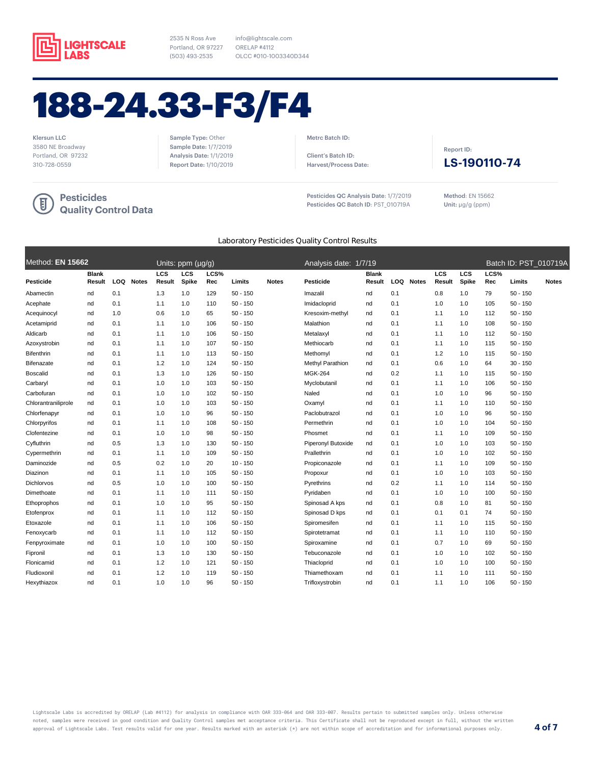

Report Date: 1/10/2019

info@lightscale.com ORELAP #4112 OLCC #010-1003340D344

# 188-24.33-F3/F4

Klersun LLC 3580 NE Broadway Portland, OR 97232 310-728-0559



Sample Type: Other Sample Date: 1/7/2019 Analysis Date: 1/1/2019 Metrc Batch ID:

Client's Batch ID: Harvest/Process Date:

Pesticides QC Analysis Date: 1/7/2019 Pesticides QC Batch ID: PST\_010719A

Report ID: **LS-190110-74**

Method: EN 15662 Unit: μg/g (ppm)

### Laboratory Pesticides Quality Control Results

| Method: EN 15662    |                        |     |              |                      | Units: ppm (µg/g) |             |            |              | Analysis date: 1/7/19 |                        |      |              |               |              |             |            | Batch ID: PST 010719A |
|---------------------|------------------------|-----|--------------|----------------------|-------------------|-------------|------------|--------------|-----------------------|------------------------|------|--------------|---------------|--------------|-------------|------------|-----------------------|
| <b>Pesticide</b>    | <b>Blank</b><br>Result | LOQ | <b>Notes</b> | <b>LCS</b><br>Result | LCS<br>Spike      | LCS%<br>Rec | Limits     | <b>Notes</b> | Pesticide             | <b>Blank</b><br>Result | LOQ. | <b>Notes</b> | LCS<br>Result | LCS<br>Spike | LCS%<br>Rec | Limits     | <b>Notes</b>          |
| Abamectin           | nd                     | 0.1 |              | 1.3                  | 1.0               | 129         | $50 - 150$ |              | Imazalil              | nd                     | 0.1  |              | 0.8           | 1.0          | 79          | $50 - 150$ |                       |
| Acephate            | nd                     | 0.1 |              | 1.1                  | 1.0               | 110         | $50 - 150$ |              | Imidacloprid          | nd                     | 0.1  |              | 1.0           | 1.0          | 105         | $50 - 150$ |                       |
| Acequinocyl         | nd                     | 1.0 |              | 0.6                  | 1.0               | 65          | $50 - 150$ |              | Kresoxim-methyl       | nd                     | 0.1  |              | 1.1           | 1.0          | 112         | $50 - 150$ |                       |
| Acetamiprid         | nd                     | 0.1 |              | 1.1                  | 1.0               | 106         | $50 - 150$ |              | Malathion             | nd                     | 0.1  |              | 1.1           | 1.0          | 108         | $50 - 150$ |                       |
| Aldicarb            | nd                     | 0.1 |              | 1.1                  | 1.0               | 106         | $50 - 150$ |              | Metalaxyl             | nd                     | 0.1  |              | 1.1           | 1.0          | 112         | $50 - 150$ |                       |
| Azoxystrobin        | nd                     | 0.1 |              | 1.1                  | 1.0               | 107         | $50 - 150$ |              | Methiocarb            | nd                     | 0.1  |              | 1.1           | 1.0          | 115         | $50 - 150$ |                       |
| Bifenthrin          | nd                     | 0.1 |              | 1.1                  | 1.0               | 113         | $50 - 150$ |              | Methomyl              | nd                     | 0.1  |              | 1.2           | 1.0          | 115         | $50 - 150$ |                       |
| Bifenazate          | nd                     | 0.1 |              | 1.2                  | 1.0               | 124         | $50 - 150$ |              | Methyl Parathion      | nd                     | 0.1  |              | 0.6           | 1.0          | 64          | $30 - 150$ |                       |
| <b>Boscalid</b>     | nd                     | 0.1 |              | 1.3                  | 1.0               | 126         | $50 - 150$ |              | <b>MGK-264</b>        | nd                     | 0.2  |              | 1.1           | 1.0          | 115         | $50 - 150$ |                       |
| Carbaryl            | nd                     | 0.1 |              | 1.0                  | 1.0               | 103         | $50 - 150$ |              | Myclobutanil          | nd                     | 0.1  |              | 1.1           | 1.0          | 106         | $50 - 150$ |                       |
| Carbofuran          | nd                     | 0.1 |              | 1.0                  | 1.0               | 102         | $50 - 150$ |              | Naled                 | nd                     | 0.1  |              | 1.0           | 1.0          | 96          | $50 - 150$ |                       |
| Chlorantraniliprole | nd                     | 0.1 |              | 1.0                  | 1.0               | 103         | $50 - 150$ |              | Oxamyl                | nd                     | 0.1  |              | 1.1           | 1.0          | 110         | $50 - 150$ |                       |
| Chlorfenapyr        | nd                     | 0.1 |              | 1.0                  | 1.0               | 96          | $50 - 150$ |              | Paclobutrazol         | nd                     | 0.1  |              | 1.0           | 1.0          | 96          | $50 - 150$ |                       |
| Chlorpyrifos        | nd                     | 0.1 |              | 1.1                  | 1.0               | 108         | $50 - 150$ |              | Permethrin            | nd                     | 0.1  |              | 1.0           | 1.0          | 104         | $50 - 150$ |                       |
| Clofentezine        | nd                     | 0.1 |              | 1.0                  | 1.0               | 98          | $50 - 150$ |              | Phosmet               | nd                     | 0.1  |              | 1.1           | 1.0          | 109         | $50 - 150$ |                       |
| Cyfluthrin          | nd                     | 0.5 |              | 1.3                  | 1.0               | 130         | $50 - 150$ |              | Piperonyl Butoxide    | nd                     | 0.1  |              | 1.0           | 1.0          | 103         | $50 - 150$ |                       |
| Cypermethrin        | nd                     | 0.1 |              | 1.1                  | 1.0               | 109         | $50 - 150$ |              | Prallethrin           | nd                     | 0.1  |              | 1.0           | 1.0          | 102         | $50 - 150$ |                       |
| Daminozide          | nd                     | 0.5 |              | 0.2                  | 1.0               | 20          | $10 - 150$ |              | Propiconazole         | nd                     | 0.1  |              | 1.1           | 1.0          | 109         | $50 - 150$ |                       |
| Diazinon            | nd                     | 0.1 |              | 1.1                  | 1.0               | 105         | $50 - 150$ |              | Propoxur              | nd                     | 0.1  |              | 1.0           | 1.0          | 103         | $50 - 150$ |                       |
| Dichlorvos          | nd                     | 0.5 |              | 1.0                  | 1.0               | 100         | $50 - 150$ |              | Pyrethrins            | nd                     | 0.2  |              | 1.1           | 1.0          | 114         | $50 - 150$ |                       |
| Dimethoate          | nd                     | 0.1 |              | 1.1                  | 1.0               | 111         | $50 - 150$ |              | Pyridaben             | nd                     | 0.1  |              | 1.0           | 1.0          | 100         | $50 - 150$ |                       |
| Ethoprophos         | nd                     | 0.1 |              | 1.0                  | 1.0               | 95          | $50 - 150$ |              | Spinosad A kps        | nd                     | 0.1  |              | 0.8           | 1.0          | 81          | $50 - 150$ |                       |
| Etofenprox          | nd                     | 0.1 |              | 1.1                  | 1.0               | 112         | $50 - 150$ |              | Spinosad D kps        | nd                     | 0.1  |              | 0.1           | 0.1          | 74          | $50 - 150$ |                       |
| Etoxazole           | nd                     | 0.1 |              | 1.1                  | 1.0               | 106         | $50 - 150$ |              | Spiromesifen          | nd                     | 0.1  |              | 1.1           | 1.0          | 115         | $50 - 150$ |                       |
| Fenoxycarb          | nd                     | 0.1 |              | 1.1                  | 1.0               | 112         | $50 - 150$ |              | Spirotetramat         | nd                     | 0.1  |              | 1.1           | 1.0          | 110         | $50 - 150$ |                       |
| Fenpyroximate       | nd                     | 0.1 |              | 1.0                  | 1.0               | 100         | $50 - 150$ |              | Spiroxamine           | nd                     | 0.1  |              | 0.7           | 1.0          | 69          | $50 - 150$ |                       |
| Fipronil            | nd                     | 0.1 |              | 1.3                  | 1.0               | 130         | $50 - 150$ |              | Tebuconazole          | nd                     | 0.1  |              | 1.0           | 1.0          | 102         | $50 - 150$ |                       |
| Flonicamid          | nd                     | 0.1 |              | 1.2                  | 1.0               | 121         | $50 - 150$ |              | Thiacloprid           | nd                     | 0.1  |              | 1.0           | 1.0          | 100         | $50 - 150$ |                       |
| Fludioxonil         | nd                     | 0.1 |              | 1.2                  | 1.0               | 119         | $50 - 150$ |              | Thiamethoxam          | nd                     | 0.1  |              | 1.1           | 1.0          | 111         | $50 - 150$ |                       |
| Hexythiazox         | nd                     | 0.1 |              | 1.0                  | 1.0               | 96          | $50 - 150$ |              | Trifloxystrobin       | nd                     | 0.1  |              | 1.1           | 1.0          | 106         | $50 - 150$ |                       |
|                     |                        |     |              |                      |                   |             |            |              |                       |                        |      |              |               |              |             |            |                       |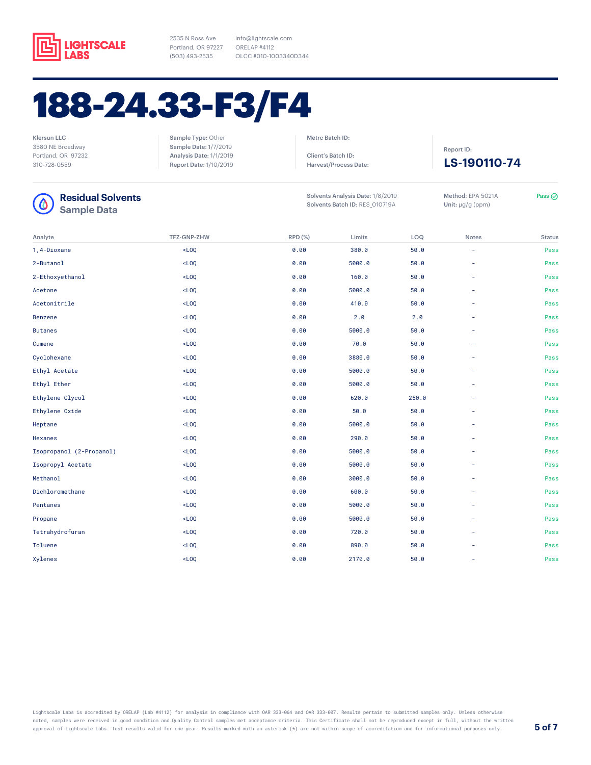

2535 N Ross Ave Portland, OR 97227 ORELAP #4112 (503) 493-2535

info@lightscale.com OLCC #010-1003340D344

## 188-24.33-F3/F4

Klersun LLC 3580 NE Broadway Portland, OR 97232 310-728-0559

Sample Type: Other Sample Date: 1/7/2019 Analysis Date: 1/1/2019 Report Date: 1/10/2019 Metrc Batch ID:

Client's Batch ID: Harvest/Process Date:



| <b>Residual Solvents</b><br><b>Sample Data</b> |                    | Solvents Analysis Date: 1/8/2019<br>Solvents Batch ID: RES_010719A | Method: EPA 5021A<br>Unit: $\mu$ g/g (ppm) | Pass $\odot$ |                          |               |
|------------------------------------------------|--------------------|--------------------------------------------------------------------|--------------------------------------------|--------------|--------------------------|---------------|
| Analyte                                        | <b>TFZ-GNP-ZHW</b> | RPD (%)                                                            | Limits                                     | LOQ          | <b>Notes</b>             | <b>Status</b> |
| 1,4-Dioxane                                    | $<$ LOQ            | 0.00                                                               | 380.0                                      | 50.0         | ÷                        | Pass          |
| 2-Butanol                                      | $<$ LOQ            | 0.00                                                               | 5000.0                                     | 50.0         | $\overline{\phantom{a}}$ | Pass          |
| 2-Ethoxyethanol                                | $<$ LOQ            | 0.00                                                               | 160.0                                      | 50.0         |                          | Pass          |
| Acetone                                        | $<$ LOQ            | 0.00                                                               | 5000.0                                     | 50.0         | ٠                        | Pass          |
| Acetonitrile                                   | $<$ LOQ            | 0.00                                                               | 410.0                                      | 50.0         | ٠                        | Pass          |
| <b>Benzene</b>                                 | $<$ LOQ            | 0.00                                                               | 2.0                                        | 2.0          |                          | Pass          |
| <b>Butanes</b>                                 | $<$ LOQ            | 0.00                                                               | 5000.0                                     | 50.0         | ٠                        | Pass          |
| Cumene                                         | $<$ LOQ            | 0.00                                                               | 70.0                                       | 50.0         |                          | Pass          |
| Cyclohexane                                    | $<$ LOQ            | 0.00                                                               | 3880.0                                     | 50.0         | ٠                        | Pass          |
| Ethyl Acetate                                  | $<$ LOQ            | 0.00                                                               | 5000.0                                     | 50.0         | ٠                        | Pass          |
| Ethyl Ether                                    | $<$ LOQ            | 0.00                                                               | 5000.0                                     | 50.0         |                          | Pass          |
| Ethylene Glycol                                | $<$ LOQ            | 0.00                                                               | 620.0                                      | 250.0        | ÷                        | Pass          |
| Ethylene Oxide                                 | $<$ LOQ            | 0.00                                                               | 50.0                                       | 50.0         | ÷                        | Pass          |
| Heptane                                        | $<$ LOQ            | 0.00                                                               | 5000.0                                     | 50.0         |                          | Pass          |
| Hexanes                                        | $<$ LOQ            | 0.00                                                               | 290.0                                      | 50.0         | ٠                        | Pass          |
| Isopropanol (2-Propanol)                       | $<$ LOQ            | 0.00                                                               | 5000.0                                     | 50.0         | ٠                        | Pass          |
| Isopropyl Acetate                              | $<$ LOQ            | 0.00                                                               | 5000.0                                     | 50.0         |                          | Pass          |
| Methanol                                       | $<$ LOQ            | 0.00                                                               | 3000.0                                     | 50.0         | ٠                        | Pass          |
| Dichloromethane                                | $<$ LOQ            | 0.00                                                               | 600.0                                      | 50.0         | ٠                        | Pass          |
| Pentanes                                       | $<$ LOQ            | 0.00                                                               | 5000.0                                     | 50.0         |                          | Pass          |
| Propane                                        | $<$ LOQ            | 0.00                                                               | 5000.0                                     | 50.0         | $\overline{\phantom{a}}$ | Pass          |
| Tetrahydrofuran                                | $<$ LOQ            | 0.00                                                               | 720.0                                      | 50.0         | ÷                        | Pass          |
| Toluene                                        | $<$ LOQ            | 0.00                                                               | 890.0                                      | 50.0         |                          | Pass          |
| Xylenes                                        | $<$ LOQ            | 0.00                                                               | 2170.0                                     | 50.0         | ٠                        | Pass          |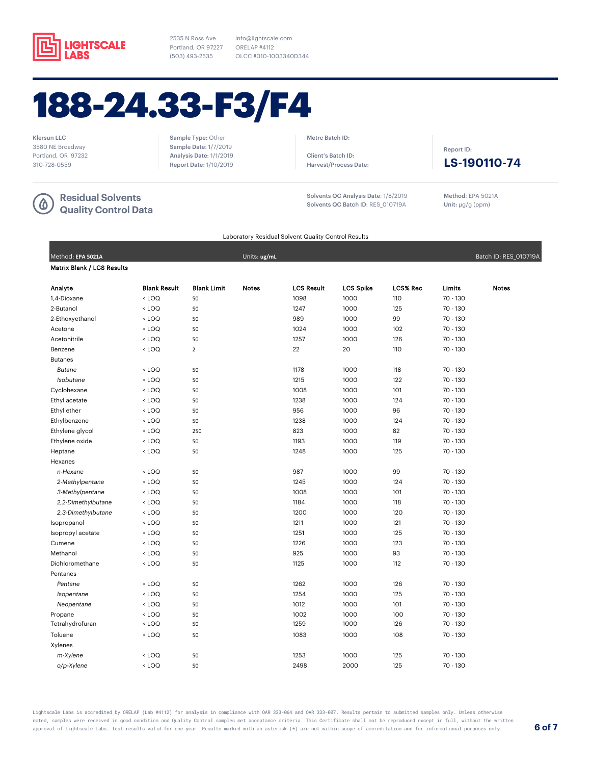

info@lightscale.com ORELAP #4112 OLCC #010-1003340D344

# 188-24.33-F3/F4

Klersun LLC 3580 NE Broadway Portland, OR 97232 310-728-0559

### **Residual Solvents Quality Control Data**

Sample Type: Other Sample Date: 1/7/2019 Analysis Date: 1/1/2019 Report Date: 1/10/2019 Metrc Batch ID:

Client's Batch ID: Harvest/Process Date:

Solvents QC Analysis Date: 1/8/2019 Solvents QC Batch ID: RES\_010719A

Method: EPA 5021A Unit: μg/g (ppm)

**LS-190110-74**

Report ID:

Laboratory Residual Solvent Quality Control Results

| Method: EPA 5021A                 |                                                                                                                            |                    | Units: ug/mL |                   |                  |                 |            | Batch ID: RES_010719A |
|-----------------------------------|----------------------------------------------------------------------------------------------------------------------------|--------------------|--------------|-------------------|------------------|-----------------|------------|-----------------------|
| <b>Matrix Blank / LCS Results</b> |                                                                                                                            |                    |              |                   |                  |                 |            |                       |
| Analyte                           | <b>Blank Result</b>                                                                                                        | <b>Blank Limit</b> | <b>Notes</b> | <b>LCS Result</b> | <b>LCS Spike</b> | <b>LCS% Rec</b> | Limits     | <b>Notes</b>          |
| 1,4-Dioxane                       | $<$ LOQ                                                                                                                    | 50                 |              | 1098              | 1000             | 110             | 70 - 130   |                       |
| 2-Butanol                         | $<$ LOQ                                                                                                                    | 50                 |              | 1247              | 1000             | 125             | 70 - 130   |                       |
| 2-Ethoxyethanol                   | <loq< td=""><td>50</td><td></td><td>989</td><td>1000</td><td>99</td><td><math>70 - 130</math></td><td></td></loq<>         | 50                 |              | 989               | 1000             | 99              | $70 - 130$ |                       |
| Acetone                           | $<$ LOQ                                                                                                                    | 50                 |              | 1024              | 1000             | 102             | 70 - 130   |                       |
| Acetonitrile                      | <loq< td=""><td>50</td><td></td><td>1257</td><td>1000</td><td>126</td><td>70 - 130</td><td></td></loq<>                    | 50                 |              | 1257              | 1000             | 126             | 70 - 130   |                       |
| Benzene                           | <loq< td=""><td><math>\overline{2}</math></td><td></td><td>22</td><td>20</td><td>110</td><td>70 - 130</td><td></td></loq<> | $\overline{2}$     |              | 22                | 20               | 110             | 70 - 130   |                       |
| <b>Butanes</b>                    |                                                                                                                            |                    |              |                   |                  |                 |            |                       |
| Butane                            | < LOQ                                                                                                                      | 50                 |              | 1178              | 1000             | 118             | 70 - 130   |                       |
| Isobutane                         | <loq< td=""><td>50</td><td></td><td>1215</td><td>1000</td><td>122</td><td>70 - 130</td><td></td></loq<>                    | 50                 |              | 1215              | 1000             | 122             | 70 - 130   |                       |
| Cyclohexane                       | <loq< td=""><td>50</td><td></td><td>1008</td><td>1000</td><td>101</td><td>70 - 130</td><td></td></loq<>                    | 50                 |              | 1008              | 1000             | 101             | 70 - 130   |                       |
| Ethyl acetate                     | <loq< td=""><td>50</td><td></td><td>1238</td><td>1000</td><td>124</td><td>70 - 130</td><td></td></loq<>                    | 50                 |              | 1238              | 1000             | 124             | 70 - 130   |                       |
| Ethyl ether                       | $<$ LOQ                                                                                                                    | 50                 |              | 956               | 1000             | 96              | 70 - 130   |                       |
| Ethylbenzene                      | $<$ LOQ                                                                                                                    | 50                 |              | 1238              | 1000             | 124             | 70 - 130   |                       |
| Ethylene glycol                   | <loq< td=""><td>250</td><td></td><td>823</td><td>1000</td><td>82</td><td>70 - 130</td><td></td></loq<>                     | 250                |              | 823               | 1000             | 82              | 70 - 130   |                       |
| Ethylene oxide                    | <loq< td=""><td>50</td><td></td><td>1193</td><td>1000</td><td>119</td><td>70 - 130</td><td></td></loq<>                    | 50                 |              | 1193              | 1000             | 119             | 70 - 130   |                       |
| Heptane                           | $<$ LOQ                                                                                                                    | 50                 |              | 1248              | 1000             | 125             | 70 - 130   |                       |
| Hexanes                           |                                                                                                                            |                    |              |                   |                  |                 |            |                       |
| n-Hexane                          | <loq< td=""><td>50</td><td></td><td>987</td><td>1000</td><td>99</td><td>70 - 130</td><td></td></loq<>                      | 50                 |              | 987               | 1000             | 99              | 70 - 130   |                       |
| 2-Methylpentane                   | <loq< td=""><td>50</td><td></td><td>1245</td><td>1000</td><td>124</td><td>70 - 130</td><td></td></loq<>                    | 50                 |              | 1245              | 1000             | 124             | 70 - 130   |                       |
| 3-Methylpentane                   | $<$ LOQ                                                                                                                    | 50                 |              | 1008              | 1000             | 101             | 70 - 130   |                       |
| 2,2-Dimethylbutane                | < LOQ                                                                                                                      | 50                 |              | 1184              | 1000             | 118             | 70 - 130   |                       |
| 2,3-Dimethylbutane                | <loq< td=""><td>50</td><td></td><td>1200</td><td>1000</td><td>120</td><td>70 - 130</td><td></td></loq<>                    | 50                 |              | 1200              | 1000             | 120             | 70 - 130   |                       |
| Isopropanol                       | $<$ LOQ                                                                                                                    | 50                 |              | 1211              | 1000             | 121             | 70 - 130   |                       |
| Isopropyl acetate                 | $<$ LOQ                                                                                                                    | 50                 |              | 1251              | 1000             | 125             | 70 - 130   |                       |
| Cumene                            | $<$ LOQ                                                                                                                    | 50                 |              | 1226              | 1000             | 123             | 70 - 130   |                       |
| Methanol                          | <loq< td=""><td>50</td><td></td><td>925</td><td>1000</td><td>93</td><td>70 - 130</td><td></td></loq<>                      | 50                 |              | 925               | 1000             | 93              | 70 - 130   |                       |
| Dichloromethane                   | $<$ LOQ                                                                                                                    | 50                 |              | 1125              | 1000             | 112             | 70 - 130   |                       |
| Pentanes                          |                                                                                                                            |                    |              |                   |                  |                 |            |                       |
| Pentane                           | <loq< td=""><td>50</td><td></td><td>1262</td><td>1000</td><td>126</td><td>70 - 130</td><td></td></loq<>                    | 50                 |              | 1262              | 1000             | 126             | 70 - 130   |                       |
| Isopentane                        | <loq< td=""><td>50</td><td></td><td>1254</td><td>1000</td><td>125</td><td>70 - 130</td><td></td></loq<>                    | 50                 |              | 1254              | 1000             | 125             | 70 - 130   |                       |
| Neopentane                        | <loq< td=""><td>50</td><td></td><td>1012</td><td>1000</td><td>101</td><td>70 - 130</td><td></td></loq<>                    | 50                 |              | 1012              | 1000             | 101             | 70 - 130   |                       |
| Propane                           | $<$ LOQ                                                                                                                    | 50                 |              | 1002              | 1000             | 100             | 70 - 130   |                       |
| Tetrahydrofuran                   | $<$ LOQ                                                                                                                    | 50                 |              | 1259              | 1000             | 126             | 70 - 130   |                       |
| Toluene                           | $<$ LOQ                                                                                                                    | 50                 |              | 1083              | 1000             | 108             | 70 - 130   |                       |
| Xylenes                           |                                                                                                                            |                    |              |                   |                  |                 |            |                       |
| m-Xylene                          | $<$ LOQ                                                                                                                    | 50                 |              | 1253              | 1000             | 125             | 70 - 130   |                       |
| o/p-Xylene                        | $<$ LOQ                                                                                                                    | 50                 |              | 2498              | 2000             | 125             | 70 - 130   |                       |

Lightscale Labs is accredited by ORELAP (Lab #4112) for analysis in compliance with OAR 333-064 and OAR 333-007. Results pertain to submitted samples only. Unless otherwise noted, samples were received in good condition and Quality Control samples met acceptance criteria. This Certificate shall not be reproduced except in full, without the written approval of Lightscale Labs. Test results valid for one year. Results marked with an asterisk (\*) are not within scope of accreditation and for informational purposes only. **6 of 7**